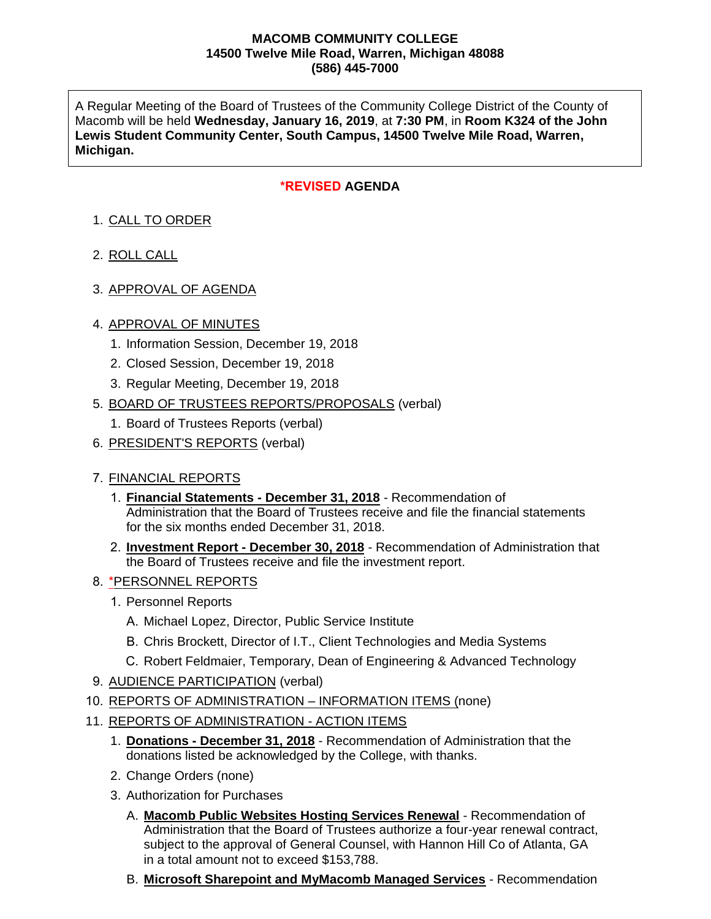#### **MACOMB COMMUNITY COLLEGE 14500 Twelve Mile Road, Warren, Michigan 48088 (586) 445-7000**

A Regular Meeting of the Board of Trustees of the Community College District of the County of Macomb will be held **Wednesday, January 16, 2019**, at **7:30 PM**, in **Room K324 of the John Lewis Student Community Center, South Campus, 14500 Twelve Mile Road, Warren, Michigan.**

## **\*REVISED AGENDA**

# 1. CALL TO ORDER

- 2. ROLL CALL
- 3. APPROVAL OF AGENDA

### 4. APPROVAL OF MINUTES

- 1. Information Session, December 19, 2018
- 2. Closed Session, December 19, 2018
- 3. Regular Meeting, December 19, 2018
- 5. BOARD OF TRUSTEES REPORTS/PROPOSALS (verbal)
	- 1. Board of Trustees Reports (verbal)
- 6. PRESIDENT'S REPORTS (verbal)

### 7. FINANCIAL REPORTS

- 1. **Financial Statements December 31, 2018** Recommendation of Administration that the Board of Trustees receive and file the financial statements for the six months ended December 31, 2018.
- 2. **Investment Report December 30, 2018** Recommendation of Administration that the Board of Trustees receive and file the investment report.

### 8. \*PERSONNEL REPORTS

- 1. Personnel Reports
	- A. Michael Lopez, Director, Public Service Institute
	- B. Chris Brockett, Director of I.T., Client Technologies and Media Systems
	- C. Robert Feldmaier, Temporary, Dean of Engineering & Advanced Technology
- 9. AUDIENCE PARTICIPATION (verbal)
- 10. REPORTS OF ADMINISTRATION INFORMATION ITEMS (none)
- 11. REPORTS OF ADMINISTRATION ACTION ITEMS
	- 1. **Donations - December 31, 2018** Recommendation of Administration that the donations listed be acknowledged by the College, with thanks.
	- 2. Change Orders (none)
	- 3. Authorization for Purchases
		- A. **Macomb Public Websites Hosting Services Renewal** Recommendation of Administration that the Board of Trustees authorize a four-year renewal contract, subject to the approval of General Counsel, with Hannon Hill Co of Atlanta, GA in a total amount not to exceed \$153,788.
		- B. **Microsoft Sharepoint and MyMacomb Managed Services** Recommendation